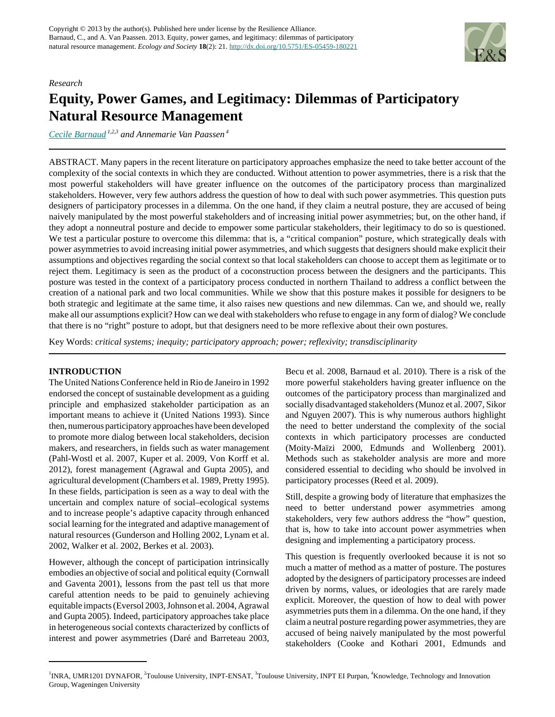

# *Research* **Equity, Power Games, and Legitimacy: Dilemmas of Participatory Natural Resource Management**

*[Cecile Barnaud](mailto:cecile.barnaud@toulouse.inra.fr) 1,2,3 and Annemarie Van Paassen<sup>4</sup>*

ABSTRACT. Many papers in the recent literature on participatory approaches emphasize the need to take better account of the complexity of the social contexts in which they are conducted. Without attention to power asymmetries, there is a risk that the most powerful stakeholders will have greater influence on the outcomes of the participatory process than marginalized stakeholders. However, very few authors address the question of how to deal with such power asymmetries. This question puts designers of participatory processes in a dilemma. On the one hand, if they claim a neutral posture, they are accused of being naively manipulated by the most powerful stakeholders and of increasing initial power asymmetries; but, on the other hand, if they adopt a nonneutral posture and decide to empower some particular stakeholders, their legitimacy to do so is questioned. We test a particular posture to overcome this dilemma: that is, a "critical companion" posture, which strategically deals with power asymmetries to avoid increasing initial power asymmetries, and which suggests that designers should make explicit their assumptions and objectives regarding the social context so that local stakeholders can choose to accept them as legitimate or to reject them. Legitimacy is seen as the product of a coconstruction process between the designers and the participants. This posture was tested in the context of a participatory process conducted in northern Thailand to address a conflict between the creation of a national park and two local communities. While we show that this posture makes it possible for designers to be both strategic and legitimate at the same time, it also raises new questions and new dilemmas. Can we, and should we, really make all our assumptions explicit? How can we deal with stakeholders who refuse to engage in any form of dialog? We conclude that there is no "right" posture to adopt, but that designers need to be more reflexive about their own postures.

Key Words: *critical systems; inequity; participatory approach; power; reflexivity; transdisciplinarity*

# **INTRODUCTION**

The United Nations Conference held in Rio de Janeiro in 1992 endorsed the concept of sustainable development as a guiding principle and emphasized stakeholder participation as an important means to achieve it (United Nations 1993). Since then, numerous participatory approaches have been developed to promote more dialog between local stakeholders, decision makers, and researchers, in fields such as water management (Pahl-Wostl et al. 2007, Kuper et al. 2009, Von Korff et al. 2012), forest management (Agrawal and Gupta 2005), and agricultural development (Chambers et al. 1989, Pretty 1995). In these fields, participation is seen as a way to deal with the uncertain and complex nature of social–ecological systems and to increase people's adaptive capacity through enhanced social learning for the integrated and adaptive management of natural resources (Gunderson and Holling 2002, Lynam et al. 2002, Walker et al. 2002, Berkes et al. 2003).

However, although the concept of participation intrinsically embodies an objective of social and political equity (Cornwall and Gaventa 2001), lessons from the past tell us that more careful attention needs to be paid to genuinely achieving equitable impacts (Eversol 2003, Johnson et al. 2004, Agrawal and Gupta 2005). Indeed, participatory approaches take place in heterogeneous social contexts characterized by conflicts of interest and power asymmetries (Daré and Barreteau 2003, Becu et al. 2008, Barnaud et al. 2010). There is a risk of the more powerful stakeholders having greater influence on the outcomes of the participatory process than marginalized and socially disadvantaged stakeholders (Munoz et al. 2007, Sikor and Nguyen 2007). This is why numerous authors highlight the need to better understand the complexity of the social contexts in which participatory processes are conducted (Moity-Maïzi 2000, Edmunds and Wollenberg 2001). Methods such as stakeholder analysis are more and more considered essential to deciding who should be involved in participatory processes (Reed et al. 2009).

Still, despite a growing body of literature that emphasizes the need to better understand power asymmetries among stakeholders, very few authors address the "how" question, that is, how to take into account power asymmetries when designing and implementing a participatory process.

This question is frequently overlooked because it is not so much a matter of method as a matter of posture. The postures adopted by the designers of participatory processes are indeed driven by norms, values, or ideologies that are rarely made explicit. Moreover, the question of how to deal with power asymmetries puts them in a dilemma. On the one hand, if they claim a neutral posture regarding power asymmetries, they are accused of being naively manipulated by the most powerful stakeholders (Cooke and Kothari 2001, Edmunds and

<sup>&</sup>lt;sup>1</sup>INRA, UMR1201 DYNAFOR, <sup>2</sup>Toulouse University, INPT-ENSAT, <sup>3</sup>Toulouse University, INPT EI Purpan, <sup>4</sup>Knowledge, Technology and Innovation Group, Wageningen University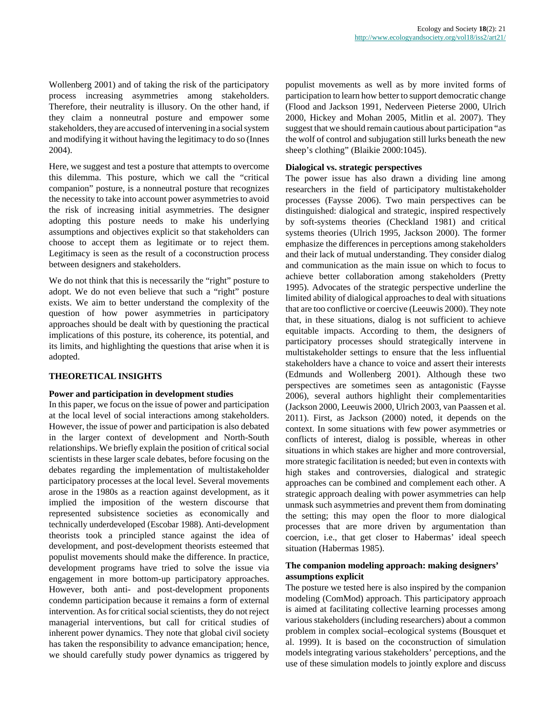Wollenberg 2001) and of taking the risk of the participatory process increasing asymmetries among stakeholders. Therefore, their neutrality is illusory. On the other hand, if they claim a nonneutral posture and empower some stakeholders, they are accused of intervening in a social system and modifying it without having the legitimacy to do so (Innes 2004).

Here, we suggest and test a posture that attempts to overcome this dilemma. This posture, which we call the "critical companion" posture, is a nonneutral posture that recognizes the necessity to take into account power asymmetries to avoid the risk of increasing initial asymmetries. The designer adopting this posture needs to make his underlying assumptions and objectives explicit so that stakeholders can choose to accept them as legitimate or to reject them. Legitimacy is seen as the result of a coconstruction process between designers and stakeholders.

We do not think that this is necessarily the "right" posture to adopt. We do not even believe that such a "right" posture exists. We aim to better understand the complexity of the question of how power asymmetries in participatory approaches should be dealt with by questioning the practical implications of this posture, its coherence, its potential, and its limits, and highlighting the questions that arise when it is adopted.

## **THEORETICAL INSIGHTS**

## **Power and participation in development studies**

In this paper, we focus on the issue of power and participation at the local level of social interactions among stakeholders. However, the issue of power and participation is also debated in the larger context of development and North-South relationships. We briefly explain the position of critical social scientists in these larger scale debates, before focusing on the debates regarding the implementation of multistakeholder participatory processes at the local level. Several movements arose in the 1980s as a reaction against development, as it implied the imposition of the western discourse that represented subsistence societies as economically and technically underdeveloped (Escobar 1988). Anti-development theorists took a principled stance against the idea of development, and post-development theorists esteemed that populist movements should make the difference. In practice, development programs have tried to solve the issue via engagement in more bottom-up participatory approaches. However, both anti- and post-development proponents condemn participation because it remains a form of external intervention. As for critical social scientists, they do not reject managerial interventions, but call for critical studies of inherent power dynamics. They note that global civil society has taken the responsibility to advance emancipation; hence, we should carefully study power dynamics as triggered by

populist movements as well as by more invited forms of participation to learn how better to support democratic change (Flood and Jackson 1991, Nederveen Pieterse 2000, Ulrich 2000, Hickey and Mohan 2005, Mitlin et al. 2007). They suggest that we should remain cautious about participation "as the wolf of control and subjugation still lurks beneath the new sheep's clothing" (Blaikie 2000:1045).

## **Dialogical vs. strategic perspectives**

The power issue has also drawn a dividing line among researchers in the field of participatory multistakeholder processes (Faysse 2006). Two main perspectives can be distinguished: dialogical and strategic, inspired respectively by soft-systems theories (Checkland 1981) and critical systems theories (Ulrich 1995, Jackson 2000). The former emphasize the differences in perceptions among stakeholders and their lack of mutual understanding. They consider dialog and communication as the main issue on which to focus to achieve better collaboration among stakeholders (Pretty 1995). Advocates of the strategic perspective underline the limited ability of dialogical approaches to deal with situations that are too conflictive or coercive (Leeuwis 2000). They note that, in these situations, dialog is not sufficient to achieve equitable impacts. According to them, the designers of participatory processes should strategically intervene in multistakeholder settings to ensure that the less influential stakeholders have a chance to voice and assert their interests (Edmunds and Wollenberg 2001). Although these two perspectives are sometimes seen as antagonistic (Faysse 2006), several authors highlight their complementarities (Jackson 2000, Leeuwis 2000, Ulrich 2003, van Paassen et al. 2011). First, as Jackson (2000) noted, it depends on the context. In some situations with few power asymmetries or conflicts of interest, dialog is possible, whereas in other situations in which stakes are higher and more controversial, more strategic facilitation is needed; but even in contexts with high stakes and controversies, dialogical and strategic approaches can be combined and complement each other. A strategic approach dealing with power asymmetries can help unmask such asymmetries and prevent them from dominating the setting; this may open the floor to more dialogical processes that are more driven by argumentation than coercion, i.e., that get closer to Habermas' ideal speech situation (Habermas 1985).

# **The companion modeling approach: making designers' assumptions explicit**

The posture we tested here is also inspired by the companion modeling (ComMod) approach. This participatory approach is aimed at facilitating collective learning processes among various stakeholders (including researchers) about a common problem in complex social–ecological systems (Bousquet et al. 1999). It is based on the coconstruction of simulation models integrating various stakeholders' perceptions, and the use of these simulation models to jointly explore and discuss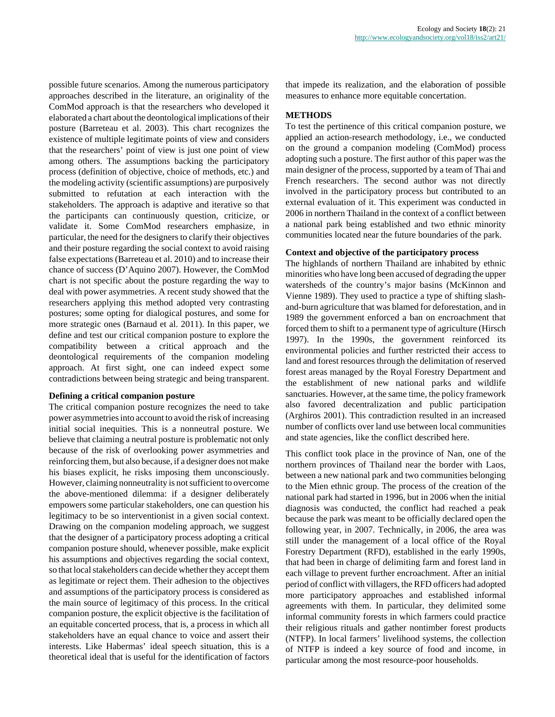possible future scenarios. Among the numerous participatory approaches described in the literature, an originality of the ComMod approach is that the researchers who developed it elaborated a chart about the deontological implications of their posture (Barreteau et al. 2003). This chart recognizes the existence of multiple legitimate points of view and considers that the researchers' point of view is just one point of view among others. The assumptions backing the participatory process (definition of objective, choice of methods, etc.) and the modeling activity (scientific assumptions) are purposively submitted to refutation at each interaction with the stakeholders. The approach is adaptive and iterative so that the participants can continuously question, criticize, or validate it. Some ComMod researchers emphasize, in particular, the need for the designers to clarify their objectives and their posture regarding the social context to avoid raising false expectations (Barreteau et al. 2010) and to increase their chance of success (D'Aquino 2007). However, the ComMod chart is not specific about the posture regarding the way to deal with power asymmetries. A recent study showed that the researchers applying this method adopted very contrasting postures; some opting for dialogical postures, and some for more strategic ones (Barnaud et al. 2011). In this paper, we define and test our critical companion posture to explore the compatibility between a critical approach and the deontological requirements of the companion modeling approach. At first sight, one can indeed expect some contradictions between being strategic and being transparent.

## **Defining a critical companion posture**

The critical companion posture recognizes the need to take power asymmetries into account to avoid the risk of increasing initial social inequities. This is a nonneutral posture. We believe that claiming a neutral posture is problematic not only because of the risk of overlooking power asymmetries and reinforcing them, but also because, if a designer does not make his biases explicit, he risks imposing them unconsciously. However, claiming nonneutrality is not sufficient to overcome the above-mentioned dilemma: if a designer deliberately empowers some particular stakeholders, one can question his legitimacy to be so interventionist in a given social context. Drawing on the companion modeling approach, we suggest that the designer of a participatory process adopting a critical companion posture should, whenever possible, make explicit his assumptions and objectives regarding the social context, so that local stakeholders can decide whether they accept them as legitimate or reject them. Their adhesion to the objectives and assumptions of the participatory process is considered as the main source of legitimacy of this process. In the critical companion posture, the explicit objective is the facilitation of an equitable concerted process, that is, a process in which all stakeholders have an equal chance to voice and assert their interests. Like Habermas' ideal speech situation, this is a theoretical ideal that is useful for the identification of factors that impede its realization, and the elaboration of possible measures to enhance more equitable concertation.

# **METHODS**

To test the pertinence of this critical companion posture, we applied an action-research methodology, i.e., we conducted on the ground a companion modeling (ComMod) process adopting such a posture. The first author of this paper was the main designer of the process, supported by a team of Thai and French researchers. The second author was not directly involved in the participatory process but contributed to an external evaluation of it. This experiment was conducted in 2006 in northern Thailand in the context of a conflict between a national park being established and two ethnic minority communities located near the future boundaries of the park.

## **Context and objective of the participatory process**

The highlands of northern Thailand are inhabited by ethnic minorities who have long been accused of degrading the upper watersheds of the country's major basins (McKinnon and Vienne 1989). They used to practice a type of shifting slashand-burn agriculture that was blamed for deforestation, and in 1989 the government enforced a ban on encroachment that forced them to shift to a permanent type of agriculture (Hirsch 1997). In the 1990s, the government reinforced its environmental policies and further restricted their access to land and forest resources through the delimitation of reserved forest areas managed by the Royal Forestry Department and the establishment of new national parks and wildlife sanctuaries. However, at the same time, the policy framework also favored decentralization and public participation (Arghiros 2001). This contradiction resulted in an increased number of conflicts over land use between local communities and state agencies, like the conflict described here.

This conflict took place in the province of Nan, one of the northern provinces of Thailand near the border with Laos, between a new national park and two communities belonging to the Mien ethnic group. The process of the creation of the national park had started in 1996, but in 2006 when the initial diagnosis was conducted, the conflict had reached a peak because the park was meant to be officially declared open the following year, in 2007. Technically, in 2006, the area was still under the management of a local office of the Royal Forestry Department (RFD), established in the early 1990s, that had been in charge of delimiting farm and forest land in each village to prevent further encroachment. After an initial period of conflict with villagers, the RFD officers had adopted more participatory approaches and established informal agreements with them. In particular, they delimited some informal community forests in which farmers could practice their religious rituals and gather nontimber forest products (NTFP). In local farmers' livelihood systems, the collection of NTFP is indeed a key source of food and income, in particular among the most resource-poor households.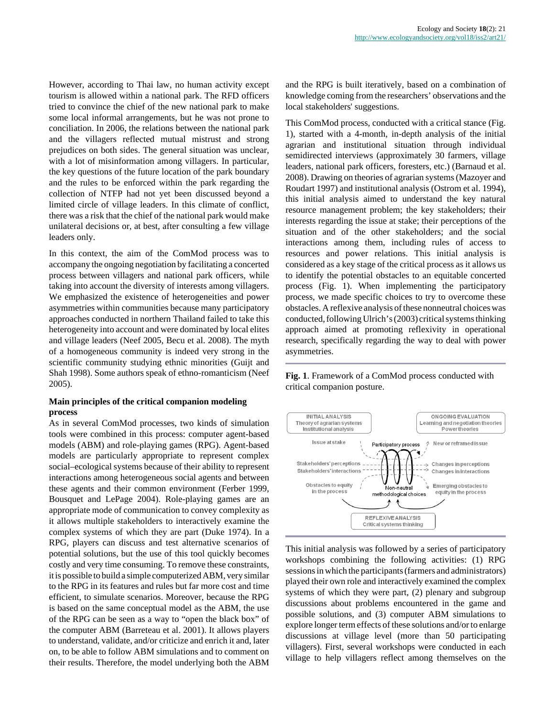However, according to Thai law, no human activity except tourism is allowed within a national park. The RFD officers tried to convince the chief of the new national park to make some local informal arrangements, but he was not prone to conciliation. In 2006, the relations between the national park and the villagers reflected mutual mistrust and strong prejudices on both sides. The general situation was unclear, with a lot of misinformation among villagers. In particular, the key questions of the future location of the park boundary and the rules to be enforced within the park regarding the collection of NTFP had not yet been discussed beyond a limited circle of village leaders. In this climate of conflict, there was a risk that the chief of the national park would make unilateral decisions or, at best, after consulting a few village leaders only.

In this context, the aim of the ComMod process was to accompany the ongoing negotiation by facilitating a concerted process between villagers and national park officers, while taking into account the diversity of interests among villagers. We emphasized the existence of heterogeneities and power asymmetries within communities because many participatory approaches conducted in northern Thailand failed to take this heterogeneity into account and were dominated by local elites and village leaders (Neef 2005, Becu et al. 2008). The myth of a homogeneous community is indeed very strong in the scientific community studying ethnic minorities (Guijt and Shah 1998). Some authors speak of ethno-romanticism (Neef 2005).

# **Main principles of the critical companion modeling process**

As in several ComMod processes, two kinds of simulation tools were combined in this process: computer agent-based models (ABM) and role-playing games (RPG). Agent-based models are particularly appropriate to represent complex social–ecological systems because of their ability to represent interactions among heterogeneous social agents and between these agents and their common environment (Ferber 1999, Bousquet and LePage 2004). Role-playing games are an appropriate mode of communication to convey complexity as it allows multiple stakeholders to interactively examine the complex systems of which they are part (Duke 1974). In a RPG, players can discuss and test alternative scenarios of potential solutions, but the use of this tool quickly becomes costly and very time consuming. To remove these constraints, it is possible to build a simple computerized ABM, very similar to the RPG in its features and rules but far more cost and time efficient, to simulate scenarios. Moreover, because the RPG is based on the same conceptual model as the ABM, the use of the RPG can be seen as a way to "open the black box" of the computer ABM (Barreteau et al. 2001). It allows players to understand, validate, and/or criticize and enrich it and, later on, to be able to follow ABM simulations and to comment on their results. Therefore, the model underlying both the ABM

and the RPG is built iteratively, based on a combination of knowledge coming from the researchers' observations and the local stakeholders' suggestions.

This ComMod process, conducted with a critical stance (Fig. 1), started with a 4-month, in-depth analysis of the initial agrarian and institutional situation through individual semidirected interviews (approximately 30 farmers, village leaders, national park officers, foresters, etc.) (Barnaud et al. 2008). Drawing on theories of agrarian systems (Mazoyer and Roudart 1997) and institutional analysis (Ostrom et al. 1994), this initial analysis aimed to understand the key natural resource management problem; the key stakeholders; their interests regarding the issue at stake; their perceptions of the situation and of the other stakeholders; and the social interactions among them, including rules of access to resources and power relations. This initial analysis is considered as a key stage of the critical process as it allows us to identify the potential obstacles to an equitable concerted process (Fig. 1). When implementing the participatory process, we made specific choices to try to overcome these obstacles. A reflexive analysis of these nonneutral choices was conducted, following Ulrich's (2003) critical systems thinking approach aimed at promoting reflexivity in operational research, specifically regarding the way to deal with power asymmetries.

**Fig. 1**. Framework of a ComMod process conducted with critical companion posture.



This initial analysis was followed by a series of participatory workshops combining the following activities: (1) RPG sessions in which the participants (farmers and administrators) played their own role and interactively examined the complex systems of which they were part, (2) plenary and subgroup discussions about problems encountered in the game and possible solutions, and (3) computer ABM simulations to explore longer term effects of these solutions and/or to enlarge discussions at village level (more than 50 participating villagers). First, several workshops were conducted in each village to help villagers reflect among themselves on the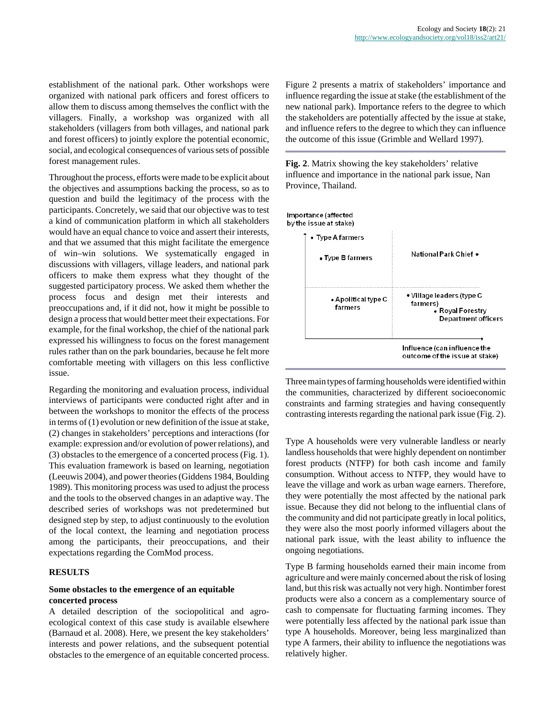establishment of the national park. Other workshops were organized with national park officers and forest officers to allow them to discuss among themselves the conflict with the villagers. Finally, a workshop was organized with all stakeholders (villagers from both villages, and national park and forest officers) to jointly explore the potential economic, social, and ecological consequences of various sets of possible forest management rules.

Throughout the process, efforts were made to be explicit about the objectives and assumptions backing the process, so as to question and build the legitimacy of the process with the participants. Concretely, we said that our objective was to test a kind of communication platform in which all stakeholders would have an equal chance to voice and assert their interests, and that we assumed that this might facilitate the emergence of win–win solutions. We systematically engaged in discussions with villagers, village leaders, and national park officers to make them express what they thought of the suggested participatory process. We asked them whether the process focus and design met their interests and preoccupations and, if it did not, how it might be possible to design a process that would better meet their expectations. For example, for the final workshop, the chief of the national park expressed his willingness to focus on the forest management rules rather than on the park boundaries, because he felt more comfortable meeting with villagers on this less conflictive issue.

Regarding the monitoring and evaluation process, individual interviews of participants were conducted right after and in between the workshops to monitor the effects of the process in terms of (1) evolution or new definition of the issue at stake, (2) changes in stakeholders' perceptions and interactions (for example: expression and/or evolution of power relations), and (3) obstacles to the emergence of a concerted process (Fig. 1). This evaluation framework is based on learning, negotiation (Leeuwis 2004), and power theories (Giddens 1984, Boulding 1989). This monitoring process was used to adjust the process and the tools to the observed changes in an adaptive way. The described series of workshops was not predetermined but designed step by step, to adjust continuously to the evolution of the local context, the learning and negotiation process among the participants, their preoccupations, and their expectations regarding the ComMod process.

## **RESULTS**

## **Some obstacles to the emergence of an equitable concerted process**

A detailed description of the sociopolitical and agroecological context of this case study is available elsewhere (Barnaud et al. 2008). Here, we present the key stakeholders' interests and power relations, and the subsequent potential obstacles to the emergence of an equitable concerted process. Figure 2 presents a matrix of stakeholders' importance and influence regarding the issue at stake (the establishment of the new national park). Importance refers to the degree to which the stakeholders are potentially affected by the issue at stake, and influence refers to the degree to which they can influence the outcome of this issue (Grimble and Wellard 1997).

**Fig. 2**. Matrix showing the key stakeholders' relative influence and importance in the national park issue, Nan Province, Thailand.



Three main types of farming households were identified within the communities, characterized by different socioeconomic constraints and farming strategies and having consequently contrasting interests regarding the national park issue (Fig. 2).

Type A households were very vulnerable landless or nearly landless households that were highly dependent on nontimber forest products (NTFP) for both cash income and family consumption. Without access to NTFP, they would have to leave the village and work as urban wage earners. Therefore, they were potentially the most affected by the national park issue. Because they did not belong to the influential clans of the community and did not participate greatly in local politics, they were also the most poorly informed villagers about the national park issue, with the least ability to influence the ongoing negotiations.

Type B farming households earned their main income from agriculture and were mainly concerned about the risk of losing land, but this risk was actually not very high. Nontimber forest products were also a concern as a complementary source of cash to compensate for fluctuating farming incomes. They were potentially less affected by the national park issue than type A households. Moreover, being less marginalized than type A farmers, their ability to influence the negotiations was relatively higher.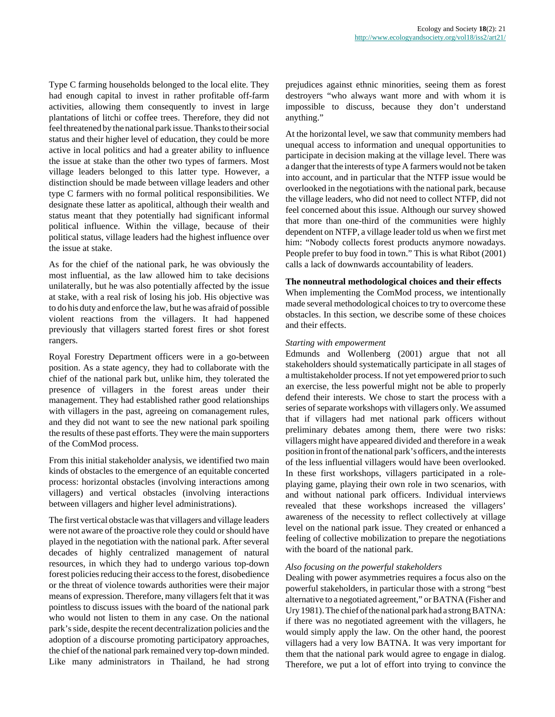Type C farming households belonged to the local elite. They had enough capital to invest in rather profitable off-farm activities, allowing them consequently to invest in large plantations of litchi or coffee trees. Therefore, they did not feel threatened by the national park issue. Thanks to their social status and their higher level of education, they could be more active in local politics and had a greater ability to influence the issue at stake than the other two types of farmers. Most village leaders belonged to this latter type. However, a distinction should be made between village leaders and other type C farmers with no formal political responsibilities. We designate these latter as apolitical, although their wealth and status meant that they potentially had significant informal political influence. Within the village, because of their political status, village leaders had the highest influence over the issue at stake.

As for the chief of the national park, he was obviously the most influential, as the law allowed him to take decisions unilaterally, but he was also potentially affected by the issue at stake, with a real risk of losing his job. His objective was to do his duty and enforce the law, but he was afraid of possible violent reactions from the villagers. It had happened previously that villagers started forest fires or shot forest rangers.

Royal Forestry Department officers were in a go-between position. As a state agency, they had to collaborate with the chief of the national park but, unlike him, they tolerated the presence of villagers in the forest areas under their management. They had established rather good relationships with villagers in the past, agreeing on comanagement rules, and they did not want to see the new national park spoiling the results of these past efforts. They were the main supporters of the ComMod process.

From this initial stakeholder analysis, we identified two main kinds of obstacles to the emergence of an equitable concerted process: horizontal obstacles (involving interactions among villagers) and vertical obstacles (involving interactions between villagers and higher level administrations).

The first vertical obstacle was that villagers and village leaders were not aware of the proactive role they could or should have played in the negotiation with the national park. After several decades of highly centralized management of natural resources, in which they had to undergo various top-down forest policies reducing their access to the forest, disobedience or the threat of violence towards authorities were their major means of expression. Therefore, many villagers felt that it was pointless to discuss issues with the board of the national park who would not listen to them in any case. On the national park's side, despite the recent decentralization policies and the adoption of a discourse promoting participatory approaches, the chief of the national park remained very top-down minded. Like many administrators in Thailand, he had strong prejudices against ethnic minorities, seeing them as forest destroyers "who always want more and with whom it is impossible to discuss, because they don't understand anything."

At the horizontal level, we saw that community members had unequal access to information and unequal opportunities to participate in decision making at the village level. There was a danger that the interests of type A farmers would not be taken into account, and in particular that the NTFP issue would be overlooked in the negotiations with the national park, because the village leaders, who did not need to collect NTFP, did not feel concerned about this issue. Although our survey showed that more than one-third of the communities were highly dependent on NTFP, a village leader told us when we first met him: "Nobody collects forest products anymore nowadays. People prefer to buy food in town." This is what Ribot (2001) calls a lack of downwards accountability of leaders.

## **The nonneutral methodological choices and their effects**

When implementing the ComMod process, we intentionally made several methodological choices to try to overcome these obstacles. In this section, we describe some of these choices and their effects.

# *Starting with empowerment*

Edmunds and Wollenberg (2001) argue that not all stakeholders should systematically participate in all stages of a multistakeholder process. If not yet empowered prior to such an exercise, the less powerful might not be able to properly defend their interests. We chose to start the process with a series of separate workshops with villagers only. We assumed that if villagers had met national park officers without preliminary debates among them, there were two risks: villagers might have appeared divided and therefore in a weak position in front of the national park's officers, and the interests of the less influential villagers would have been overlooked. In these first workshops, villagers participated in a roleplaying game, playing their own role in two scenarios, with and without national park officers. Individual interviews revealed that these workshops increased the villagers' awareness of the necessity to reflect collectively at village level on the national park issue. They created or enhanced a feeling of collective mobilization to prepare the negotiations with the board of the national park.

## *Also focusing on the powerful stakeholders*

Dealing with power asymmetries requires a focus also on the powerful stakeholders, in particular those with a strong "best alternative to a negotiated agreement," or BATNA (Fisher and Ury 1981). The chief of the national park had a strong BATNA: if there was no negotiated agreement with the villagers, he would simply apply the law. On the other hand, the poorest villagers had a very low BATNA. It was very important for them that the national park would agree to engage in dialog. Therefore, we put a lot of effort into trying to convince the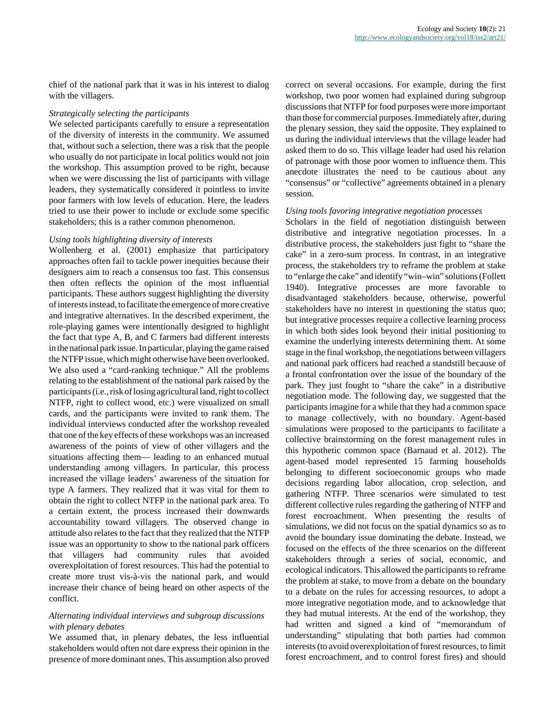chief of the national park that it was in his interest to dialog with the villagers.

#### *Strategically selecting the participants*

We selected participants carefully to ensure a representation of the diversity of interests in the community. We assumed that, without such a selection, there was a risk that the people who usually do not participate in local politics would not join the workshop. This assumption proved to be right, because when we were discussing the list of participants with village leaders, they systematically considered it pointless to invite poor farmers with low levels of education. Here, the leaders tried to use their power to include or exclude some specific stakeholders; this is a rather common phenomenon.

#### *Using tools highlighting diversity of interests*

Wollenberg et al. (2001) emphasize that participatory approaches often fail to tackle power inequities because their designers aim to reach a consensus too fast. This consensus then often reflects the opinion of the most influential participants. These authors suggest highlighting the diversity of interests instead, to facilitate the emergence of more creative and integrative alternatives. In the described experiment, the role-playing games were intentionally designed to highlight the fact that type A, B, and C farmers had different interests in the national park issue. In particular, playing the game raised the NTFP issue, which might otherwise have been overlooked. We also used a "card-ranking technique." All the problems relating to the establishment of the national park raised by the participants (i.e., risk of losing agricultural land, right to collect NTFP, right to collect wood, etc.) were visualized on small cards, and the participants were invited to rank them. The individual interviews conducted after the workshop revealed that one of the key effects of these workshops was an increased awareness of the points of view of other villagers and the situations affecting them— leading to an enhanced mutual understanding among villagers. In particular, this process increased the village leaders' awareness of the situation for type A farmers. They realized that it was vital for them to obtain the right to collect NTFP in the national park area. To a certain extent, the process increased their downwards accountability toward villagers. The observed change in attitude also relates to the fact that they realized that the NTFP issue was an opportunity to show to the national park officers that villagers had community rules that avoided overexploitation of forest resources. This had the potential to create more trust vis-à-vis the national park, and would increase their chance of being heard on other aspects of the conflict.

## *Alternating individual interviews and subgroup discussions with plenary debates*

We assumed that, in plenary debates, the less influential stakeholders would often not dare express their opinion in the presence of more dominant ones. This assumption also proved correct on several occasions. For example, during the first workshop, two poor women had explained during subgroup discussions that NTFP for food purposes were more important than those for commercial purposes. Immediately after, during the plenary session, they said the opposite. They explained to us during the individual interviews that the village leader had asked them to do so. This village leader had used his relation of patronage with those poor women to influence them. This anecdote illustrates the need to be cautious about any "consensus" or "collective" agreements obtained in a plenary session.

#### *Using tools favoring integrative negotiation processes*

Scholars in the field of negotiation distinguish between distributive and integrative negotiation processes. In a distributive process, the stakeholders just fight to "share the cake" in a zero-sum process. In contrast, in an integrative process, the stakeholders try to reframe the problem at stake to "enlarge the cake" and identify "win–win" solutions (Follett 1940). Integrative processes are more favorable to disadvantaged stakeholders because, otherwise, powerful stakeholders have no interest in questioning the status quo; but integrative processes require a collective learning process in which both sides look beyond their initial positioning to examine the underlying interests determining them. At some stage in the final workshop, the negotiations between villagers and national park officers had reached a standstill because of a frontal confrontation over the issue of the boundary of the park. They just fought to "share the cake" in a distributive negotiation mode. The following day, we suggested that the participants imagine for a while that they had a common space to manage collectively, with no boundary. Agent-based simulations were proposed to the participants to facilitate a collective brainstorming on the forest management rules in this hypothetic common space (Barnaud et al. 2012). The agent-based model represented 15 farming households belonging to different socioeconomic groups who made decisions regarding labor allocation, crop selection, and gathering NTFP. Three scenarios were simulated to test different collective rules regarding the gathering of NTFP and forest encroachment. When presenting the results of simulations, we did not focus on the spatial dynamics so as to avoid the boundary issue dominating the debate. Instead, we focused on the effects of the three scenarios on the different stakeholders through a series of social, economic, and ecological indicators. This allowed the participants to reframe the problem at stake, to move from a debate on the boundary to a debate on the rules for accessing resources, to adopt a more integrative negotiation mode, and to acknowledge that they had mutual interests. At the end of the workshop, they had written and signed a kind of "memorandum of understanding" stipulating that both parties had common interests (to avoid overexploitation of forest resources, to limit forest encroachment, and to control forest fires) and should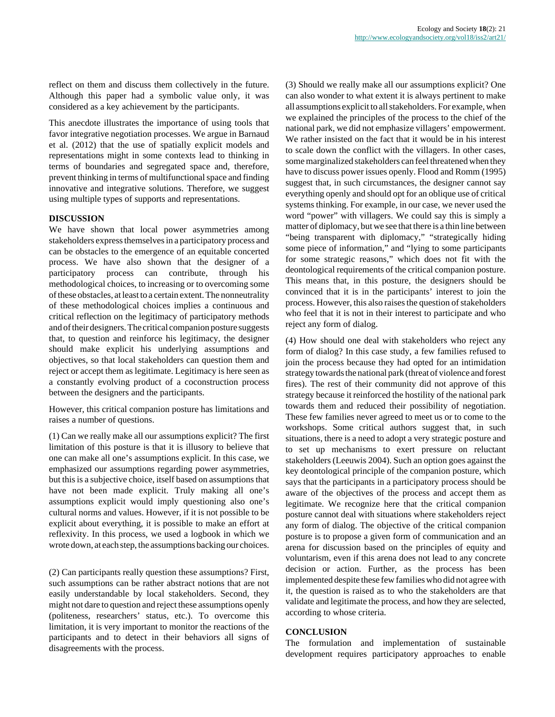reflect on them and discuss them collectively in the future. Although this paper had a symbolic value only, it was considered as a key achievement by the participants.

This anecdote illustrates the importance of using tools that favor integrative negotiation processes. We argue in Barnaud et al. (2012) that the use of spatially explicit models and representations might in some contexts lead to thinking in terms of boundaries and segregated space and, therefore, prevent thinking in terms of multifunctional space and finding innovative and integrative solutions. Therefore, we suggest using multiple types of supports and representations.

## **DISCUSSION**

We have shown that local power asymmetries among stakeholders express themselves in a participatory process and can be obstacles to the emergence of an equitable concerted process. We have also shown that the designer of a participatory process can contribute, through his methodological choices, to increasing or to overcoming some of these obstacles, at least to a certain extent. The nonneutrality of these methodological choices implies a continuous and critical reflection on the legitimacy of participatory methods and of their designers. The critical companion posture suggests that, to question and reinforce his legitimacy, the designer should make explicit his underlying assumptions and objectives, so that local stakeholders can question them and reject or accept them as legitimate. Legitimacy is here seen as a constantly evolving product of a coconstruction process between the designers and the participants.

However, this critical companion posture has limitations and raises a number of questions.

(1) Can we really make all our assumptions explicit? The first limitation of this posture is that it is illusory to believe that one can make all one's assumptions explicit. In this case, we emphasized our assumptions regarding power asymmetries, but this is a subjective choice, itself based on assumptions that have not been made explicit. Truly making all one's assumptions explicit would imply questioning also one's cultural norms and values. However, if it is not possible to be explicit about everything, it is possible to make an effort at reflexivity. In this process, we used a logbook in which we wrote down, at each step, the assumptions backing our choices.

(2) Can participants really question these assumptions? First, such assumptions can be rather abstract notions that are not easily understandable by local stakeholders. Second, they might not dare to question and reject these assumptions openly (politeness, researchers' status, etc.). To overcome this limitation, it is very important to monitor the reactions of the participants and to detect in their behaviors all signs of disagreements with the process.

(3) Should we really make all our assumptions explicit? One can also wonder to what extent it is always pertinent to make all assumptions explicit to all stakeholders. For example, when we explained the principles of the process to the chief of the national park, we did not emphasize villagers' empowerment. We rather insisted on the fact that it would be in his interest to scale down the conflict with the villagers. In other cases, some marginalized stakeholders can feel threatened when they have to discuss power issues openly. Flood and Romm (1995) suggest that, in such circumstances, the designer cannot say everything openly and should opt for an oblique use of critical systems thinking. For example, in our case, we never used the word "power" with villagers. We could say this is simply a matter of diplomacy, but we see that there is a thin line between "being transparent with diplomacy," "strategically hiding some piece of information," and "lying to some participants for some strategic reasons," which does not fit with the deontological requirements of the critical companion posture. This means that, in this posture, the designers should be convinced that it is in the participants' interest to join the process. However, this also raises the question of stakeholders who feel that it is not in their interest to participate and who reject any form of dialog.

(4) How should one deal with stakeholders who reject any form of dialog? In this case study, a few families refused to join the process because they had opted for an intimidation strategy towards the national park (threat of violence and forest fires). The rest of their community did not approve of this strategy because it reinforced the hostility of the national park towards them and reduced their possibility of negotiation. These few families never agreed to meet us or to come to the workshops. Some critical authors suggest that, in such situations, there is a need to adopt a very strategic posture and to set up mechanisms to exert pressure on reluctant stakeholders (Leeuwis 2004). Such an option goes against the key deontological principle of the companion posture, which says that the participants in a participatory process should be aware of the objectives of the process and accept them as legitimate. We recognize here that the critical companion posture cannot deal with situations where stakeholders reject any form of dialog. The objective of the critical companion posture is to propose a given form of communication and an arena for discussion based on the principles of equity and voluntarism, even if this arena does not lead to any concrete decision or action. Further, as the process has been implemented despite these few families who did not agree with it, the question is raised as to who the stakeholders are that validate and legitimate the process, and how they are selected, according to whose criteria.

#### **CONCLUSION**

The formulation and implementation of sustainable development requires participatory approaches to enable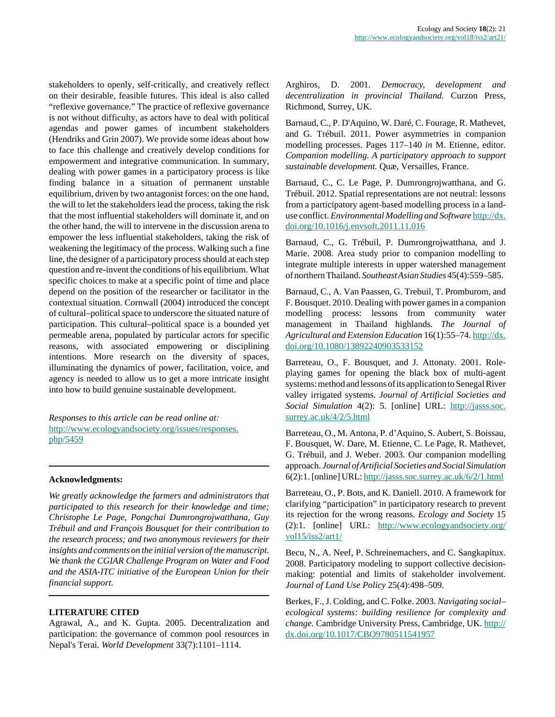stakeholders to openly, self-critically, and creatively reflect on their desirable, feasible futures. This ideal is also called "reflexive governance." The practice of reflexive governance is not without difficulty, as actors have to deal with political agendas and power games of incumbent stakeholders (Hendriks and Grin 2007). We provide some ideas about how to face this challenge and creatively develop conditions for empowerment and integrative communication. In summary, dealing with power games in a participatory process is like finding balance in a situation of permanent unstable equilibrium, driven by two antagonist forces: on the one hand, the will to let the stakeholders lead the process, taking the risk that the most influential stakeholders will dominate it, and on the other hand, the will to intervene in the discussion arena to empower the less influential stakeholders, taking the risk of weakening the legitimacy of the process. Walking such a fine line, the designer of a participatory process should at each step question and re-invent the conditions of his equilibrium. What specific choices to make at a specific point of time and place depend on the position of the researcher or facilitator in the contextual situation. Cornwall (2004) introduced the concept of cultural–political space to underscore the situated nature of participation. This cultural–political space is a bounded yet permeable arena, populated by particular actors for specific reasons, with associated empowering or disciplining intentions. More research on the diversity of spaces, illuminating the dynamics of power, facilitation, voice, and agency is needed to allow us to get a more intricate insight into how to build genuine sustainable development.

*Responses to this article can be read online at:* [http://www.ecologyandsociety.org/issues/responses.](http://www.ecologyandsociety.org/issues/responses.php/5459) [php/5459](http://www.ecologyandsociety.org/issues/responses.php/5459)

## **Acknowledgments:**

*We greatly acknowledge the farmers and administrators that participated to this research for their knowledge and time; Christophe Le Page, Pongchai Dumrongrojwatthana, Guy Trébuil and and François Bousquet for their contribution to the research process; and two anonymous reviewers for their insights and comments on the initial version of the manuscript. We thank the CGIAR Challenge Program on Water and Food and the ASIA-ITC initiative of the European Union for their financial support.*

# **LITERATURE CITED**

Agrawal, A., and K. Gupta. 2005. Decentralization and participation: the governance of common pool resources in Nepal's Terai. *World Development* 33(7):1101–1114.

Arghiros, D. 2001. *Democracy, development and decentralization in provincial Thailand.* Curzon Press, Richmond, Surrey, UK.

Barnaud, C., P. D'Aquino, W. Daré, C. Fourage, R. Mathevet, and G. Trébuil. 2011. Power asymmetries in companion modelling processes. Pages 117–140 *in* M. Etienne, editor. *Companion modelling. A participatory approach to support sustainable development.* Quæ, Versailles, France.

Barnaud, C., C. Le Page, P. Dumrongrojwatthana, and G. Trébuil. 2012. Spatial representations are not neutral: lessons from a participatory agent-based modelling process in a landuse conflict. *Environmental Modelling and Software* [http://dx.](http://dx.doi.org/10.1016/j.envsoft.2011.11.016) [doi.org/10.1016/j.envsoft.2011.11.016](http://dx.doi.org/10.1016/j.envsoft.2011.11.016) 

Barnaud, C., G. Trébuil, P. Dumrongrojwatthana, and J. Marie. 2008. Area study prior to companion modelling to integrate multiple interests in upper watershed management of northern Thailand. *Southeast Asian Studies* 45(4):559–585.

Barnaud, C., A. Van Paassen, G. Trebuil, T. Promburom, and F. Bousquet. 2010. Dealing with power games in a companion modelling process: lessons from community water management in Thailand highlands. *The Journal of Agricultural and Extension Education* 16(1):55–74. [http://dx.](http://dx.doi.org/10.1080/13892240903533152) [doi.org/10.1080/13892240903533152](http://dx.doi.org/10.1080/13892240903533152)

Barreteau, O., F. Bousquet, and J. Attonaty. 2001. Roleplaying games for opening the black box of multi-agent systems: method and lessons of its application to Senegal River valley irrigated systems. *Journal of Artificial Societies and Social Simulation* 4(2): 5. [online] URL: [http://jasss.soc.](http://jasss.soc.surrey.ac.uk/4/2/5.html) [surrey.ac.uk/4/2/5.html](http://jasss.soc.surrey.ac.uk/4/2/5.html)

Barreteau, O., M. Antona, P. d'Aquino, S. Aubert, S. Boissau, F. Bousquet, W. Dare, M. Etienne, C. Le Page, R. Mathevet, G. Trébuil, and J. Weber. 2003. Our companion modelling approach. *Journal of Artificial Societies and Social Simulation* 6(2):1. [online] URL:<http://jasss.soc.surrey.ac.uk/6/2/1.html>

Barreteau, O., P. Bots, and K. Daniell. 2010. A framework for clarifying "participation" in participatory research to prevent its rejection for the wrong reasons. *Ecology and Society* 15 (2):1. [online] URL: [http://www.ecologyandsociety.org/](http://www.ecologyandsociety.org/vol15/iss2/art1/) [vol15/iss2/art1/](http://www.ecologyandsociety.org/vol15/iss2/art1/)

Becu, N., A. Neef, P. Schreinemachers, and C. Sangkapitux. 2008. Participatory modeling to support collective decisionmaking: potential and limits of stakeholder involvement. *Journal of Land Use Policy* 25(4):498–509.

Berkes, F., J. Colding, and C. Folke. 2003. *Navigating social– ecological systems: building resilience for complexity and change.* Cambridge University Press, Cambridge, UK. [http://](http://dx.doi.org/10.1017/CBO9780511541957) [dx.doi.org/10.1017/CBO9780511541957](http://dx.doi.org/10.1017/CBO9780511541957)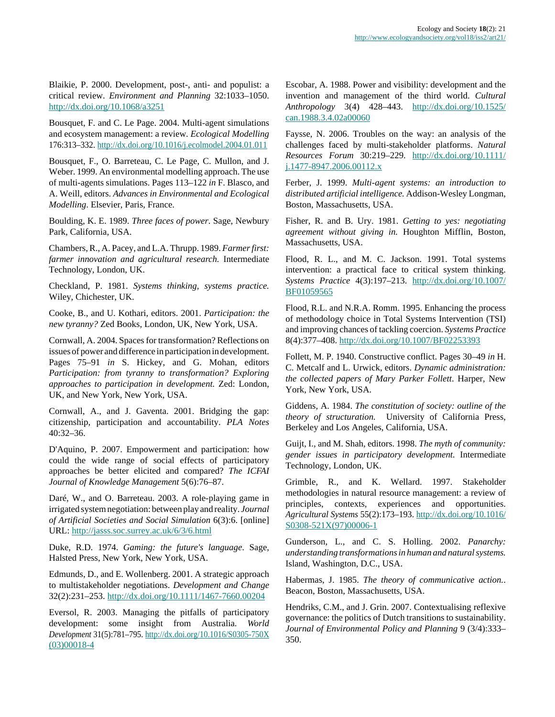Blaikie, P. 2000. Development, post-, anti- and populist: a critical review. *Environment and Planning* 32:1033–1050. <http://dx.doi.org/10.1068/a3251>

Bousquet, F. and C. Le Page. 2004. Multi-agent simulations and ecosystem management: a review. *Ecological Modelling* 176:313–332.<http://dx.doi.org/10.1016/j.ecolmodel.2004.01.011>

Bousquet, F., O. Barreteau, C. Le Page, C. Mullon, and J. Weber. 1999. An environmental modelling approach. The use of multi-agents simulations. Pages 113–122 *in* F. Blasco, and A. Weill, editors. *Advances in Environmental and Ecological Modelling*. Elsevier, Paris, France.

Boulding, K. E. 1989. *Three faces of power*. Sage, Newbury Park, California, USA.

Chambers, R., A. Pacey, and L.A. Thrupp. 1989. *Farmer first: farmer innovation and agricultural research.* Intermediate Technology, London, UK.

Checkland, P. 1981. *Systems thinking, systems practice.* Wiley, Chichester, UK.

Cooke, B., and U. Kothari, editors. 2001. *Participation: the new tyranny?* Zed Books, London, UK, New York, USA.

Cornwall, A. 2004. Spaces for transformation? Reflections on issues of power and difference in participation in development. Pages 75–91 *in* S. Hickey, and G. Mohan, editors *Participation: from tyranny to transformation? Exploring approaches to participation in development.* Zed: London, UK, and New York, New York, USA.

Cornwall, A., and J. Gaventa. 2001. Bridging the gap: citizenship, participation and accountability. *PLA Notes* 40:32–36.

D'Aquino, P. 2007. Empowerment and participation: how could the wide range of social effects of participatory approaches be better elicited and compared? *The ICFAI Journal of Knowledge Management* 5(6):76–87.

Daré, W., and O. Barreteau. 2003. A role-playing game in irrigated system negotiation: between play and reality. *Journal of Artificial Societies and Social Simulation* 6(3):6. [online] URL:<http://jasss.soc.surrey.ac.uk/6/3/6.html>

Duke, R.D. 1974. *Gaming: the future's language*. Sage, Halsted Press, New York, New York, USA.

Edmunds, D., and E. Wollenberg. 2001. A strategic approach to multistakeholder negotiations. *Development and Change* 32(2):231–253.<http://dx.doi.org/10.1111/1467-7660.00204>

Eversol, R. 2003. Managing the pitfalls of participatory development: some insight from Australia. *World Development* 31(5):781–795. [http://dx.doi.org/10.1016/S0305-750X](http://dx.doi.org/10.1016/S0305-750X(03)00018-4) [\(03\)00018-4](http://dx.doi.org/10.1016/S0305-750X(03)00018-4)

Escobar, A. 1988. Power and visibility: development and the invention and management of the third world. *Cultural Anthropology* 3(4) 428–443. [http://dx.doi.org/10.1525/](http://dx.doi.org/10.1525/can.1988.3.4.02a00060) [can.1988.3.4.02a00060](http://dx.doi.org/10.1525/can.1988.3.4.02a00060)

Faysse, N. 2006. Troubles on the way: an analysis of the challenges faced by multi-stakeholder platforms. *Natural Resources Forum* 30:219–229. [http://dx.doi.org/10.1111/](http://dx.doi.org/10.1111/j.1477-8947.2006.00112.x) [j.1477-8947.2006.00112.x](http://dx.doi.org/10.1111/j.1477-8947.2006.00112.x)

Ferber, J. 1999. *Multi-agent systems: an introduction to distributed artificial intelligence.* Addison-Wesley Longman, Boston, Massachusetts, USA.

Fisher, R. and B. Ury. 1981. *Getting to yes: negotiating agreement without giving in.* Houghton Mifflin, Boston, Massachusetts, USA.

Flood, R. L., and M. C. Jackson. 1991. Total systems intervention: a practical face to critical system thinking. *Systems Practice* 4(3):197–213. [http://dx.doi.org/10.1007/](http://dx.doi.org/10.1007/BF01059565) [BF01059565](http://dx.doi.org/10.1007/BF01059565)

Flood, R.L. and N.R.A. Romm. 1995. Enhancing the process of methodology choice in Total Systems Intervention (TSI) and improving chances of tackling coercion. *Systems Practice* 8(4):377–408.<http://dx.doi.org/10.1007/BF02253393>

Follett, M. P. 1940. Constructive conflict. Pages 30–49 *in* H. C. Metcalf and L. Urwick, editors. *Dynamic administration: the collected papers of Mary Parker Follett*. Harper, New York, New York, USA.

Giddens, A. 1984. *The constitution of society: outline of the theory of structuration.* University of California Press, Berkeley and Los Angeles, California, USA.

Guijt, I., and M. Shah, editors. 1998. *The myth of community: gender issues in participatory development.* Intermediate Technology, London, UK.

Grimble, R., and K. Wellard. 1997. Stakeholder methodologies in natural resource management: a review of principles, contexts, experiences and opportunities. *Agricultural Systems* 55(2):173–193. [http://dx.doi.org/10.1016/](http://dx.doi.org/10.1016/S0308-521X(97)00006-1) [S0308-521X\(97\)00006-1](http://dx.doi.org/10.1016/S0308-521X(97)00006-1)

Gunderson, L., and C. S. Holling. 2002. *Panarchy: understanding transformations in human and natural systems.* Island, Washington, D.C., USA.

Habermas, J. 1985. *The theory of communicative action.*. Beacon, Boston, Massachusetts, USA.

Hendriks, C.M., and J. Grin. 2007. Contextualising reflexive governance: the politics of Dutch transitions to sustainability. *Journal of Environmental Policy and Planning* 9 (3/4):333– 350.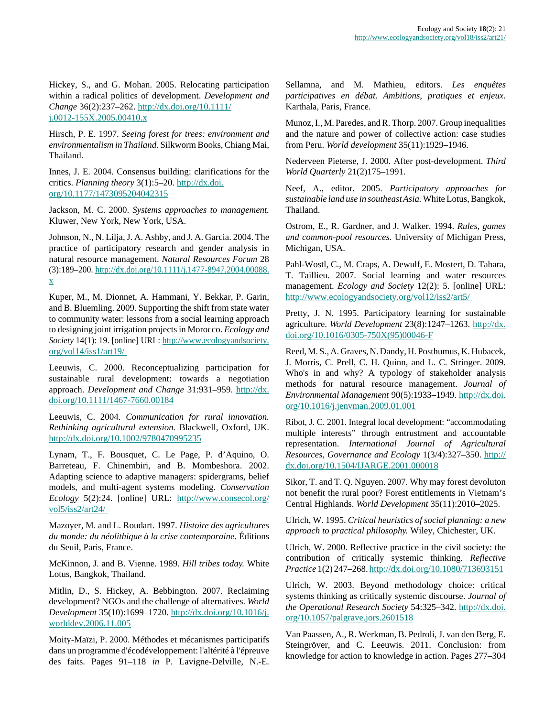Hickey, S., and G. Mohan. 2005. Relocating participation within a radical politics of development. *Development and Change* 36(2):237–262. [http://dx.doi.org/10.1111/](http://dx.doi.org/10.1111/j.0012-155X.2005.00410.x) [j.0012-155X.2005.00410.x](http://dx.doi.org/10.1111/j.0012-155X.2005.00410.x)

Hirsch, P. E. 1997. *Seeing forest for trees: environment and environmentalism in Thailand*. Silkworm Books, Chiang Mai, Thailand.

Innes, J. E. 2004. Consensus building: clarifications for the critics. *Planning theory* 3(1):5–20. [http://dx.doi.](http://dx.doi.org/10.1177/1473095204042315) [org/10.1177/1473095204042315](http://dx.doi.org/10.1177/1473095204042315)

Jackson, M. C. 2000. *Systems approaches to management.* Kluwer, New York, New York, USA.

Johnson, N., N. Lilja, J. A. Ashby, and J. A. Garcia. 2004. The practice of participatory research and gender analysis in natural resource management. *Natural Resources Forum* 28 (3):189–200. [http://dx.doi.org/10.1111/j.1477-8947.2004.00088.](http://dx.doi.org/10.1111/j.1477-8947.2004.00088.x) [x](http://dx.doi.org/10.1111/j.1477-8947.2004.00088.x)

Kuper, M., M. Dionnet, A. Hammani, Y. Bekkar, P. Garin, and B. Bluemling. 2009. Supporting the shift from state water to community water: lessons from a social learning approach to designing joint irrigation projects in Morocco. *Ecology and Society* 14(1): 19. [online] URL: [http://www.ecologyandsociety.](http://www.ecologyandsociety.org/vol14/iss1/art19/) [org/vol14/iss1/art19/](http://www.ecologyandsociety.org/vol14/iss1/art19/) 

Leeuwis, C. 2000. Reconceptualizing participation for sustainable rural development: towards a negotiation approach. *Development and Change* 31:931–959. [http://dx.](http://dx.doi.org/10.1111/1467-7660.00184) [doi.org/10.1111/1467-7660.00184](http://dx.doi.org/10.1111/1467-7660.00184)

Leeuwis, C. 2004. *Communication for rural innovation. Rethinking agricultural extension.* Blackwell, Oxford, UK. <http://dx.doi.org/10.1002/9780470995235>

Lynam, T., F. Bousquet, C. Le Page, P. d'Aquino, O. Barreteau, F. Chinembiri, and B. Mombeshora. 2002. Adapting science to adaptive managers: spidergrams, belief models, and multi-agent systems modeling. *Conservation Ecology* 5(2):24. [online] URL: [http://www.consecol.org/](http://www.consecol.org/vol5/iss2/art24/) [vol5/iss2/art24/](http://www.consecol.org/vol5/iss2/art24/) 

Mazoyer, M. and L. Roudart. 1997. *Histoire des agricultures du monde: du néolithique à la crise contemporaine.* Éditions du Seuil, Paris, France.

McKinnon, J. and B. Vienne. 1989. *Hill tribes today.* White Lotus, Bangkok, Thailand.

Mitlin, D., S. Hickey, A. Bebbington. 2007. Reclaiming development? NGOs and the challenge of alternatives. *World Development* 35(10):1699–1720. [http://dx.doi.org/10.1016/j.](http://dx.doi.org/10.1016/j.worlddev.2006.11.005) [worlddev.2006.11.005](http://dx.doi.org/10.1016/j.worlddev.2006.11.005)

Moity-Maïzi, P. 2000. Méthodes et mécanismes participatifs dans un programme d'écodéveloppement: l'altérité à l'épreuve des faits. Pages 91–118 *in* P. Lavigne-Delville, N.-E. Sellamna, and M. Mathieu, editors. *Les enquêtes participatives en débat. Ambitions, pratiques et enjeux.* Karthala, Paris, France.

Munoz, I., M. Paredes, and R. Thorp. 2007. Group inequalities and the nature and power of collective action: case studies from Peru. *World development* 35(11):1929–1946.

Nederveen Pieterse, J. 2000. After post-development. *Third World Quarterly* 21(2)175–1991.

Neef, A., editor. 2005. *Participatory approaches for sustainable land use in southeast Asia.* White Lotus, Bangkok, Thailand.

Ostrom, E., R. Gardner, and J. Walker. 1994. *Rules, games and common-pool resources.* University of Michigan Press, Michigan, USA.

Pahl-Wostl, C., M. Craps, A. Dewulf, E. Mostert, D. Tabara, T. Taillieu. 2007. Social learning and water resources management. *Ecology and Society* 12(2): 5. [online] URL: <http://www.ecologyandsociety.org/vol12/iss2/art5/>

Pretty, J. N. 1995. Participatory learning for sustainable agriculture. *World Development* 23(8):1247–1263. [http://dx.](http://dx.doi.org/10.1016/0305-750X(95)00046-F) [doi.org/10.1016/0305-750X\(95\)00046-F](http://dx.doi.org/10.1016/0305-750X(95)00046-F)

Reed, M. S., A. Graves, N. Dandy, H. Posthumus, K. Hubacek, J. Morris, C. Prell, C. H. Quinn, and L. C. Stringer. 2009. Who's in and why? A typology of stakeholder analysis methods for natural resource management. *Journal of Environmental Management* 90(5):1933–1949. [http://dx.doi.](http://dx.doi.org/10.1016/j.jenvman.2009.01.001) [org/10.1016/j.jenvman.2009.01.001](http://dx.doi.org/10.1016/j.jenvman.2009.01.001)

Ribot, J. C. 2001. Integral local development: "accommodating multiple interests" through entrustment and accountable representation. *International Journal of Agricultural Resources, Governance and Ecology* 1(3/4):327–350. [http://](http://dx.doi.org/10.1504/IJARGE.2001.000018) [dx.doi.org/10.1504/IJARGE.2001.000018](http://dx.doi.org/10.1504/IJARGE.2001.000018)

Sikor, T. and T. Q. Nguyen. 2007. Why may forest devoluton not benefit the rural poor? Forest entitlements in Vietnam's Central Highlands. *World Development* 35(11):2010–2025.

Ulrich, W. 1995. *Critical heuristics of social planning: a new approach to practical philosophy.* Wiley, Chichester, UK.

Ulrich, W. 2000. Reflective practice in the civil society: the contribution of critically systemic thinking. *Reflective Practice* 1(2) 247–268.<http://dx.doi.org/10.1080/713693151>

Ulrich, W. 2003. Beyond methodology choice: critical systems thinking as critically systemic discourse. *Journal of the Operational Research Society* 54:325–342. [http://dx.doi.](http://dx.doi.org/10.1057/palgrave.jors.2601518) [org/10.1057/palgrave.jors.2601518](http://dx.doi.org/10.1057/palgrave.jors.2601518)

Van Paassen, A., R. Werkman, B. Pedroli, J. van den Berg, E. Steingröver, and C. Leeuwis. 2011. Conclusion: from knowledge for action to knowledge in action. Pages 277–304